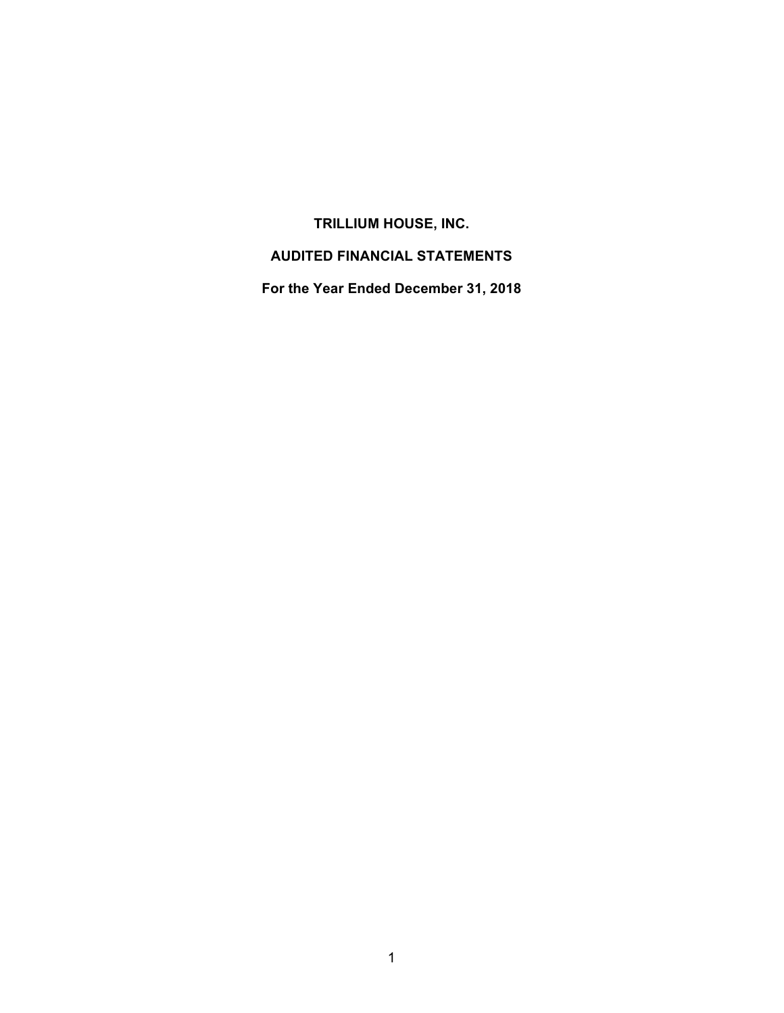# **TRILLIUM HOUSE, INC.**

# **AUDITED FINANCIAL STATEMENTS**

**For the Year Ended December 31, 2018**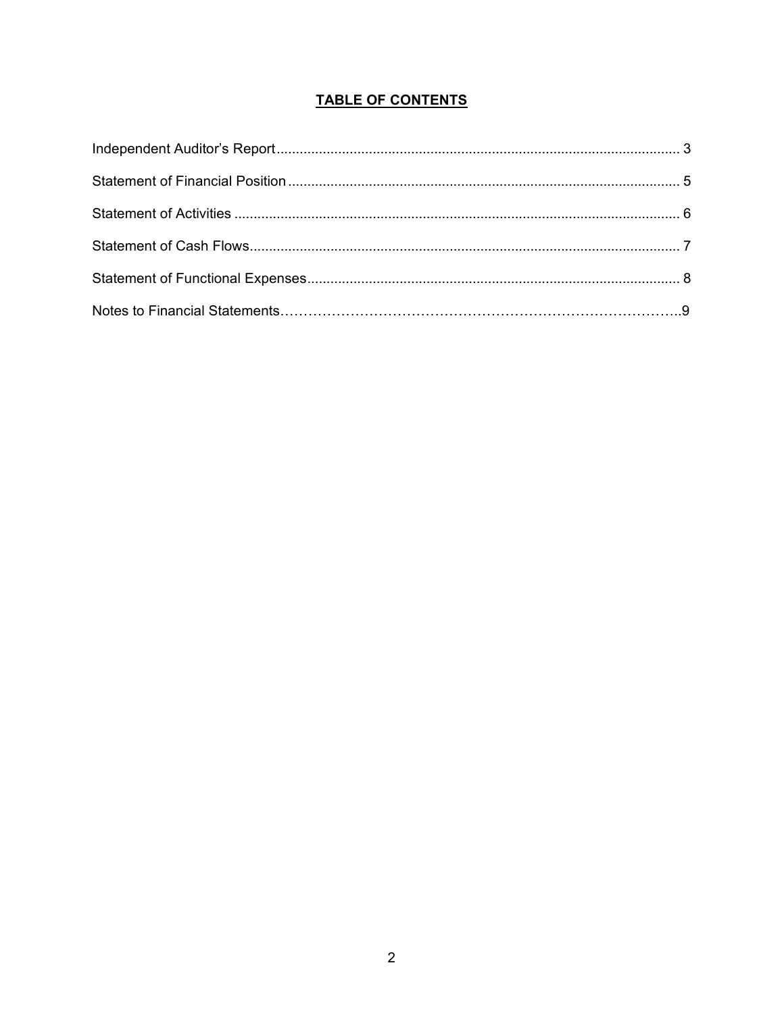# **TABLE OF CONTENTS**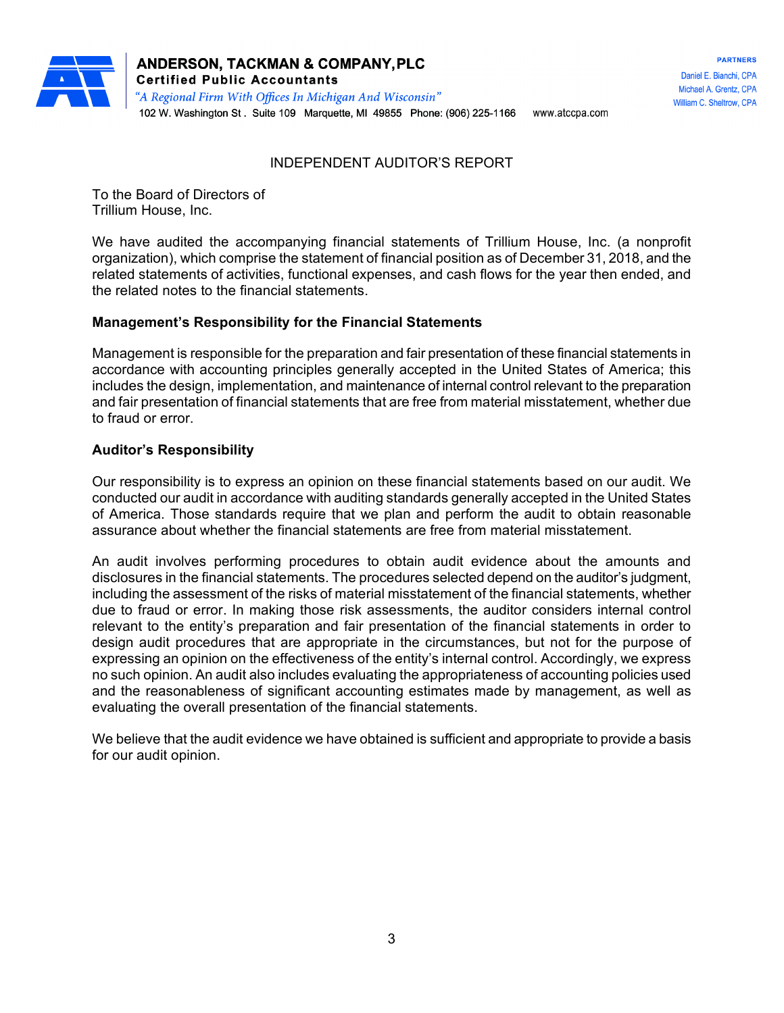

## INDEPENDENT AUDITOR'S REPORT

To the Board of Directors of Trillium House, Inc.

We have audited the accompanying financial statements of Trillium House, Inc. (a nonprofit organization), which comprise the statement of financial position as of December 31, 2018, and the related statements of activities, functional expenses, and cash flows for the year then ended, and the related notes to the financial statements.

## **Management's Responsibility for the Financial Statements**

Management is responsible for the preparation and fair presentation of these financial statements in accordance with accounting principles generally accepted in the United States of America; this includes the design, implementation, and maintenance of internal control relevant to the preparation and fair presentation of financial statements that are free from material misstatement, whether due to fraud or error.

## **Auditor's Responsibility**

Our responsibility is to express an opinion on these financial statements based on our audit. We conducted our audit in accordance with auditing standards generally accepted in the United States of America. Those standards require that we plan and perform the audit to obtain reasonable assurance about whether the financial statements are free from material misstatement.

An audit involves performing procedures to obtain audit evidence about the amounts and disclosures in the financial statements. The procedures selected depend on the auditor's judgment, including the assessment of the risks of material misstatement of the financial statements, whether due to fraud or error. In making those risk assessments, the auditor considers internal control relevant to the entity's preparation and fair presentation of the financial statements in order to design audit procedures that are appropriate in the circumstances, but not for the purpose of expressing an opinion on the effectiveness of the entity's internal control. Accordingly, we express no such opinion. An audit also includes evaluating the appropriateness of accounting policies used and the reasonableness of significant accounting estimates made by management, as well as evaluating the overall presentation of the financial statements.

We believe that the audit evidence we have obtained is sufficient and appropriate to provide a basis for our audit opinion.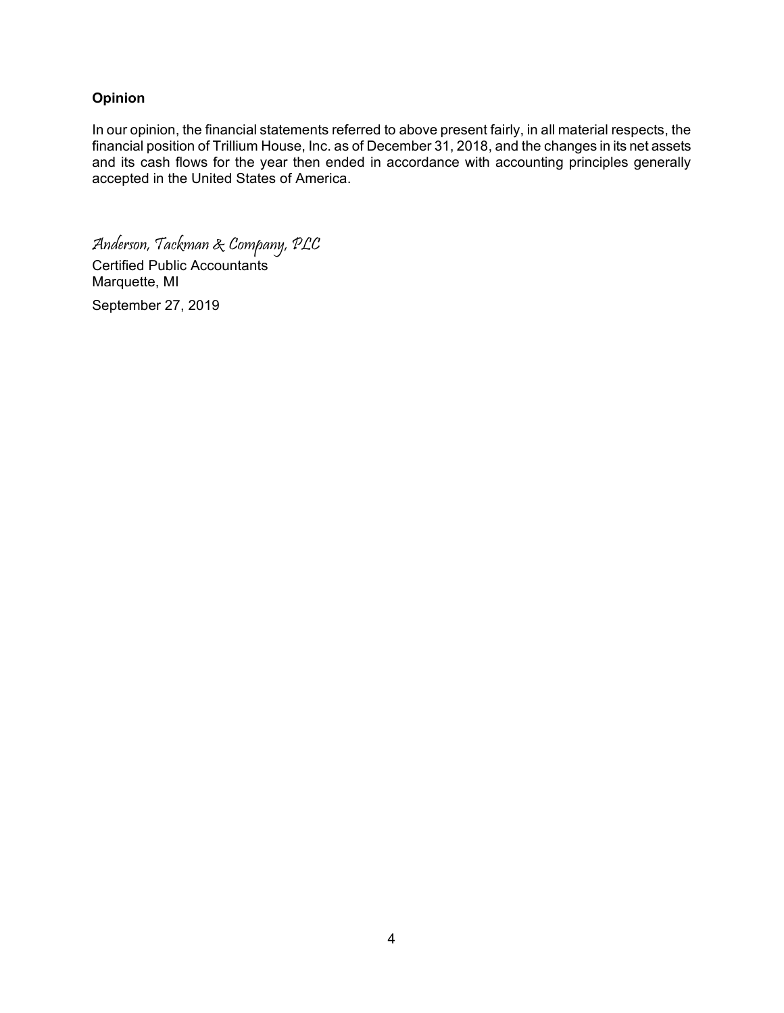# **Opinion**

In our opinion, the financial statements referred to above present fairly, in all material respects, the financial position of Trillium House, Inc. as of December 31, 2018, and the changes in its net assets and its cash flows for the year then ended in accordance with accounting principles generally accepted in the United States of America.

Anderson, Tackman & Company, PLC Certified Public Accountants Marquette, MI September 27, 2019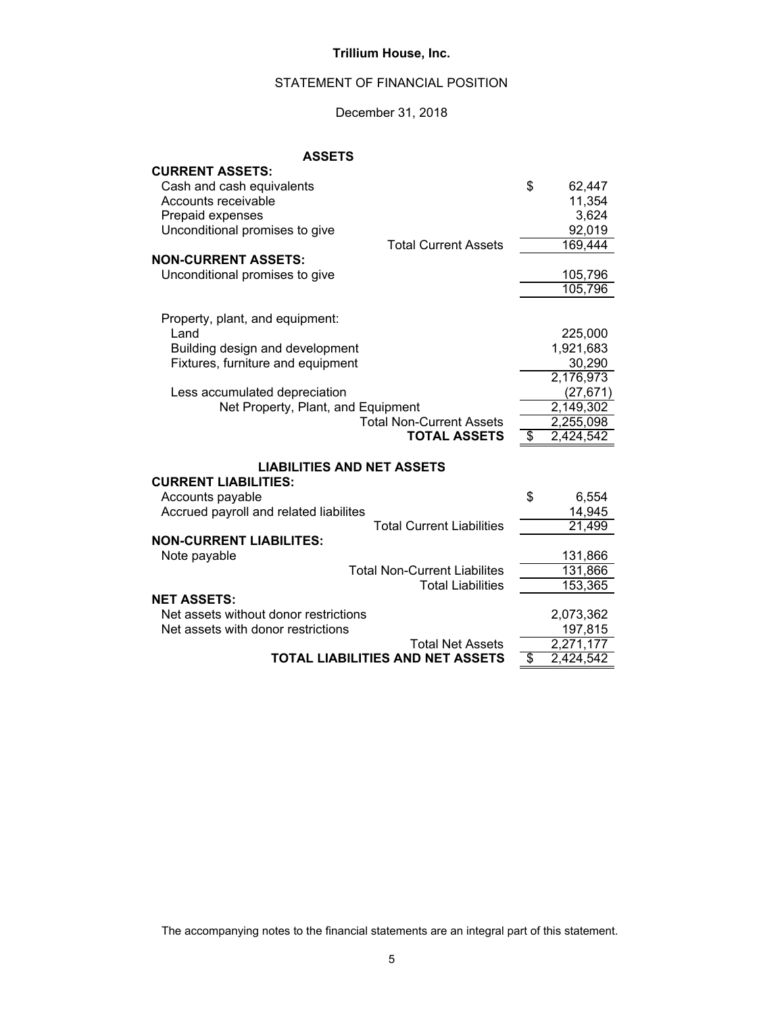#### STATEMENT OF FINANCIAL POSITION

#### December 31, 2018

| <b>ASSETS</b>                          |                                     |                 |
|----------------------------------------|-------------------------------------|-----------------|
| <b>CURRENT ASSETS:</b>                 |                                     |                 |
| Cash and cash equivalents              |                                     | \$<br>62,447    |
| Accounts receivable                    |                                     | 11,354          |
| Prepaid expenses                       |                                     | 3,624           |
| Unconditional promises to give         |                                     | 92,019          |
|                                        | <b>Total Current Assets</b>         | 169,444         |
| <b>NON-CURRENT ASSETS:</b>             |                                     |                 |
| Unconditional promises to give         |                                     | 105,796         |
|                                        |                                     | 105,796         |
|                                        |                                     |                 |
| Property, plant, and equipment:        |                                     |                 |
| Land                                   |                                     | 225,000         |
| Building design and development        |                                     | 1,921,683       |
| Fixtures, furniture and equipment      |                                     | 30,290          |
|                                        |                                     | 2,176,973       |
| Less accumulated depreciation          |                                     | (27, 671)       |
| Net Property, Plant, and Equipment     |                                     | 2,149,302       |
|                                        | <b>Total Non-Current Assets</b>     | 2,255,098       |
|                                        | <b>TOTAL ASSETS</b>                 | \$<br>2,424,542 |
|                                        |                                     |                 |
| <b>LIABILITIES AND NET ASSETS</b>      |                                     |                 |
| <b>CURRENT LIABILITIES:</b>            |                                     |                 |
| Accounts payable                       |                                     | \$<br>6,554     |
| Accrued payroll and related liabilites |                                     | 14,945          |
|                                        | <b>Total Current Liabilities</b>    | 21,499          |
| <b>NON-CURRENT LIABILITES:</b>         |                                     |                 |
| Note payable                           |                                     | 131,866         |
|                                        | <b>Total Non-Current Liabilites</b> | 131,866         |
|                                        | <b>Total Liabilities</b>            | 153,365         |
| <b>NET ASSETS:</b>                     |                                     |                 |
| Net assets without donor restrictions  |                                     | 2,073,362       |
| Net assets with donor restrictions     |                                     | 197,815         |
|                                        | <b>Total Net Assets</b>             | 2,271,177       |
|                                        | TOTAL LIABILITIES AND NET ASSETS    | \$<br>2,424,542 |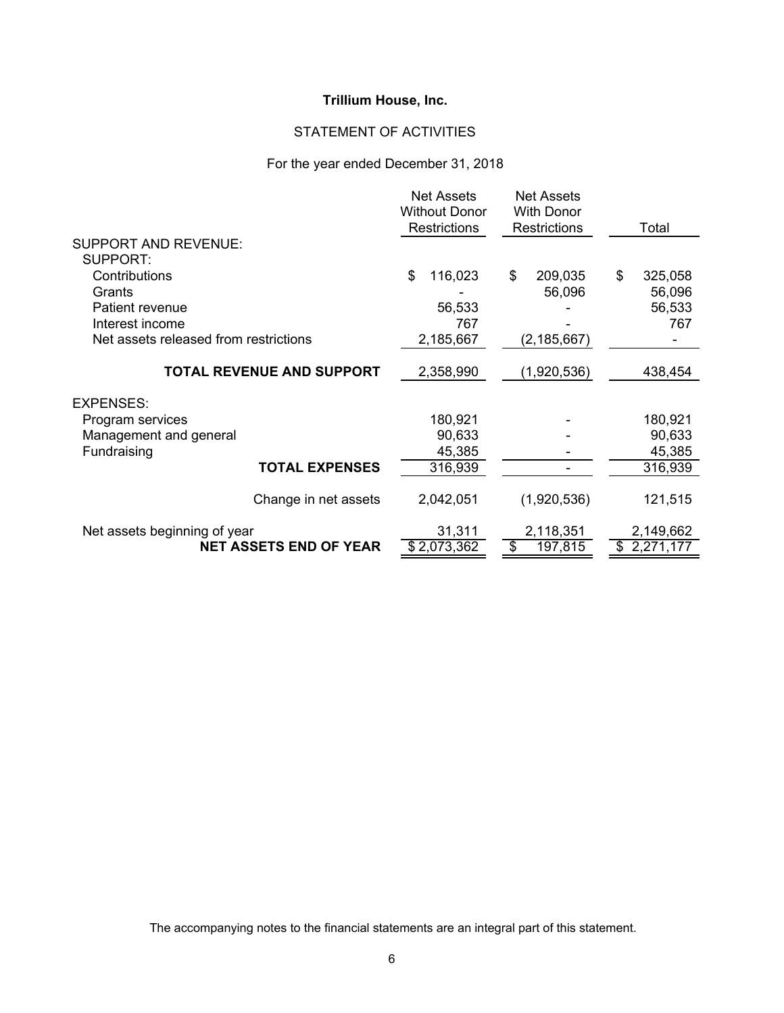# STATEMENT OF ACTIVITIES

# For the year ended December 31, 2018

|                                       | <b>Net Assets</b><br><b>Without Donor</b><br><b>Restrictions</b> | <b>Net Assets</b><br><b>With Donor</b><br><b>Restrictions</b> | Total           |
|---------------------------------------|------------------------------------------------------------------|---------------------------------------------------------------|-----------------|
| <b>SUPPORT AND REVENUE:</b>           |                                                                  |                                                               |                 |
| SUPPORT:                              |                                                                  |                                                               |                 |
| Contributions                         | \$<br>116,023                                                    | \$<br>209,035                                                 | \$<br>325,058   |
| Grants                                |                                                                  | 56,096                                                        | 56,096          |
| Patient revenue                       | 56,533                                                           |                                                               | 56,533          |
| Interest income                       | 767                                                              |                                                               | 767             |
| Net assets released from restrictions | 2,185,667                                                        | (2, 185, 667)                                                 |                 |
|                                       |                                                                  |                                                               |                 |
| <b>TOTAL REVENUE AND SUPPORT</b>      | 2,358,990                                                        | (1,920,536)                                                   | 438,454         |
|                                       |                                                                  |                                                               |                 |
| EXPENSES:                             |                                                                  |                                                               |                 |
| Program services                      | 180,921                                                          |                                                               | 180,921         |
| Management and general                | 90,633                                                           |                                                               | 90,633          |
| Fundraising                           | 45,385                                                           |                                                               | 45,385          |
| <b>TOTAL EXPENSES</b>                 | 316,939                                                          |                                                               | 316,939         |
|                                       |                                                                  |                                                               |                 |
| Change in net assets                  | 2,042,051                                                        | (1,920,536)                                                   | 121,515         |
|                                       |                                                                  |                                                               |                 |
| Net assets beginning of year          | 31,311                                                           | 2,118,351                                                     | 2,149,662       |
| <b>NET ASSETS END OF YEAR</b>         | \$2,073,362                                                      | $\overline{\mathcal{E}}$<br>197,815                           | 2,271,177<br>\$ |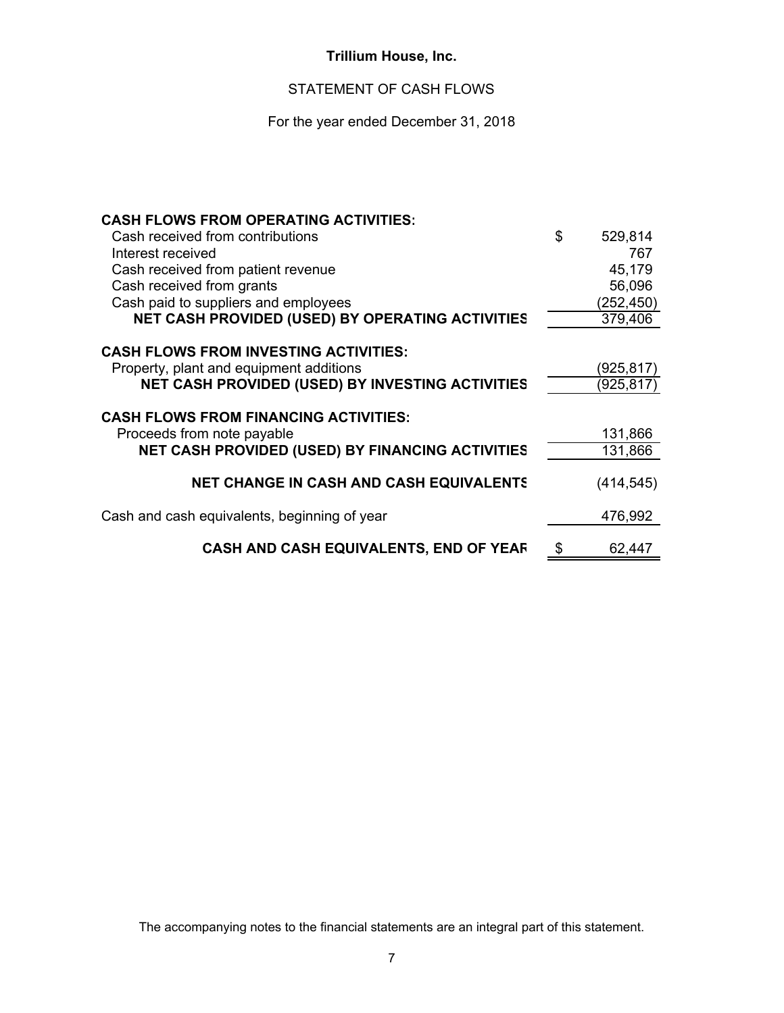# STATEMENT OF CASH FLOWS

For the year ended December 31, 2018

| <b>CASH FLOWS FROM OPERATING ACTIVITIES:</b>                                            |               |
|-----------------------------------------------------------------------------------------|---------------|
| Cash received from contributions                                                        | \$<br>529,814 |
| Interest received                                                                       | 767           |
| Cash received from patient revenue                                                      | 45,179        |
| Cash received from grants                                                               | 56,096        |
| Cash paid to suppliers and employees                                                    | (252,450)     |
| NET CASH PROVIDED (USED) BY OPERATING ACTIVITIES                                        | 379,406       |
| <b>CASH FLOWS FROM INVESTING ACTIVITIES:</b><br>Property, plant and equipment additions | (925, 817)    |
| <b>NET CASH PROVIDED (USED) BY INVESTING ACTIVITIES</b>                                 | (925, 817)    |
| <b>CASH FLOWS FROM FINANCING ACTIVITIES:</b><br>Proceeds from note payable              | 131,866       |
| <b>NET CASH PROVIDED (USED) BY FINANCING ACTIVITIES</b>                                 | 131,866       |
| <b>NET CHANGE IN CASH AND CASH EQUIVALENTS</b>                                          | (414, 545)    |
| Cash and cash equivalents, beginning of year                                            | 476,992       |
| CASH AND CASH EQUIVALENTS, END OF YEAR                                                  | 62,447        |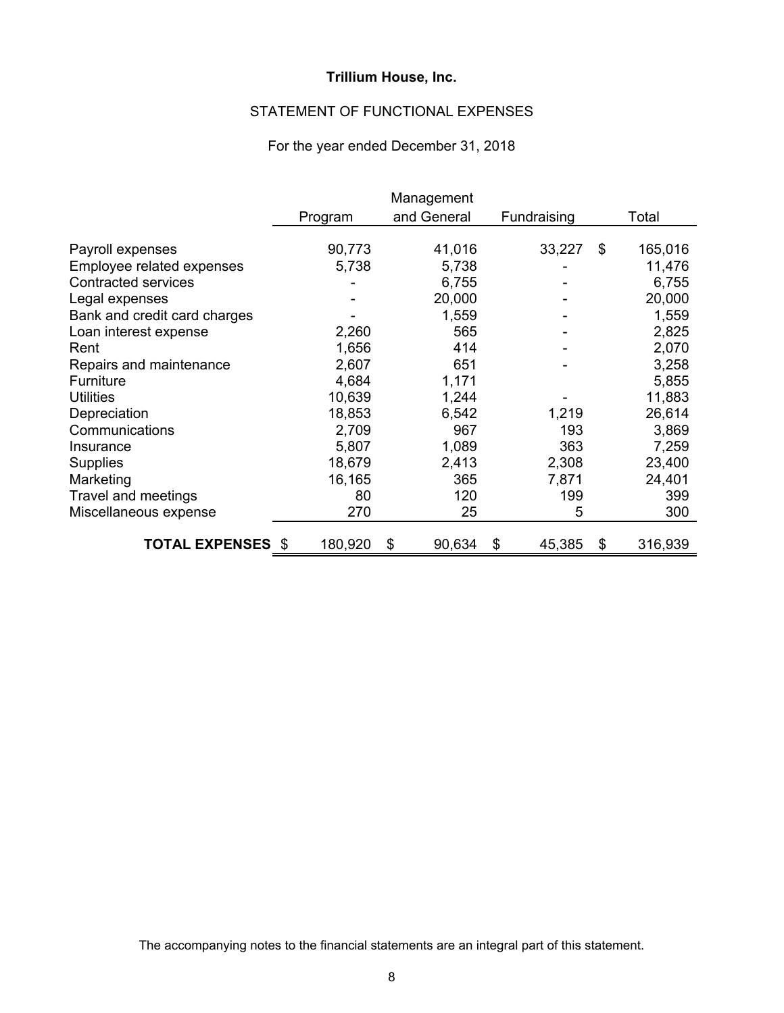# STATEMENT OF FUNCTIONAL EXPENSES

# For the year ended December 31, 2018

|                              |         | Management   |             |               |
|------------------------------|---------|--------------|-------------|---------------|
|                              | Program | and General  | Fundraising | Total         |
|                              |         |              |             |               |
| Payroll expenses             | 90,773  | 41,016       | 33,227      | 165,016<br>\$ |
| Employee related expenses    | 5,738   | 5,738        |             | 11,476        |
| <b>Contracted services</b>   |         | 6,755        |             | 6,755         |
| Legal expenses               |         | 20,000       |             | 20,000        |
| Bank and credit card charges |         | 1,559        |             | 1,559         |
| Loan interest expense        | 2,260   | 565          |             | 2,825         |
| Rent                         | 1,656   | 414          |             | 2,070         |
| Repairs and maintenance      | 2,607   | 651          |             | 3,258         |
| Furniture                    | 4,684   | 1,171        |             | 5,855         |
| <b>Utilities</b>             | 10,639  | 1,244        |             | 11,883        |
| Depreciation                 | 18,853  | 6,542        | 1,219       | 26,614        |
| Communications               | 2,709   | 967          | 193         | 3,869         |
| Insurance                    | 5,807   | 1,089        | 363         | 7,259         |
| <b>Supplies</b>              | 18,679  | 2,413        | 2,308       | 23,400        |
| Marketing                    | 16,165  | 365          | 7,871       | 24,401        |
| Travel and meetings          | 80      | 120          | 199         | 399           |
| Miscellaneous expense        | 270     | 25           | 5           | 300           |
|                              |         |              |             |               |
| <b>TOTAL EXPENSES \$</b>     | 180,920 | 90,634<br>\$ | 45,385<br>S | 316,939<br>\$ |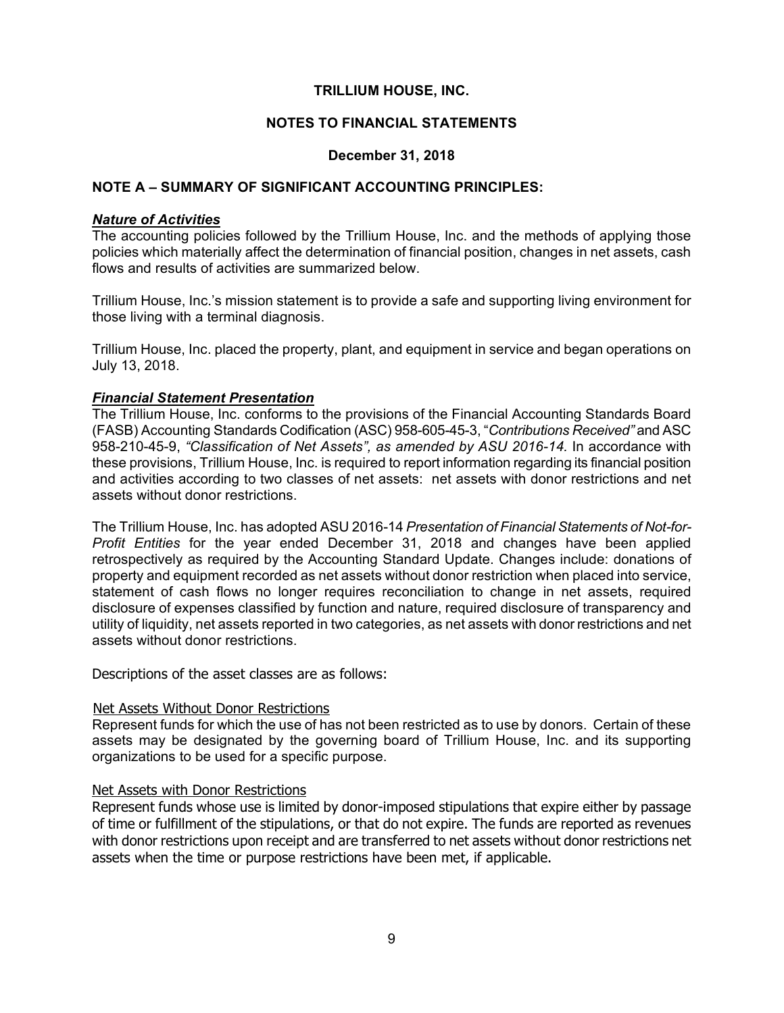# **TRILLIUM HOUSE, INC.**

## **NOTES TO FINANCIAL STATEMENTS**

## **December 31, 2018**

## **NOTE A – SUMMARY OF SIGNIFICANT ACCOUNTING PRINCIPLES:**

## *Nature of Activities*

The accounting policies followed by the Trillium House, Inc. and the methods of applying those policies which materially affect the determination of financial position, changes in net assets, cash flows and results of activities are summarized below.

Trillium House, Inc.'s mission statement is to provide a safe and supporting living environment for those living with a terminal diagnosis.

Trillium House, Inc. placed the property, plant, and equipment in service and began operations on July 13, 2018.

## *Financial Statement Presentation*

The Trillium House, Inc. conforms to the provisions of the Financial Accounting Standards Board (FASB) Accounting Standards Codification (ASC) 958-605-45-3, "*Contributions Received"* and ASC 958-210-45-9, *"Classification of Net Assets", as amended by ASU 2016-14.* In accordance with these provisions, Trillium House, Inc. is required to report information regarding its financial position and activities according to two classes of net assets: net assets with donor restrictions and net assets without donor restrictions.

The Trillium House, Inc. has adopted ASU 2016-14 *Presentation of Financial Statements of Not-for-Profit Entities* for the year ended December 31, 2018 and changes have been applied retrospectively as required by the Accounting Standard Update. Changes include: donations of property and equipment recorded as net assets without donor restriction when placed into service, statement of cash flows no longer requires reconciliation to change in net assets, required disclosure of expenses classified by function and nature, required disclosure of transparency and utility of liquidity, net assets reported in two categories, as net assets with donor restrictions and net assets without donor restrictions.

Descriptions of the asset classes are as follows:

#### Net Assets Without Donor Restrictions

Represent funds for which the use of has not been restricted as to use by donors. Certain of these assets may be designated by the governing board of Trillium House, Inc. and its supporting organizations to be used for a specific purpose.

## Net Assets with Donor Restrictions

Represent funds whose use is limited by donor-imposed stipulations that expire either by passage of time or fulfillment of the stipulations, or that do not expire. The funds are reported as revenues with donor restrictions upon receipt and are transferred to net assets without donor restrictions net assets when the time or purpose restrictions have been met, if applicable.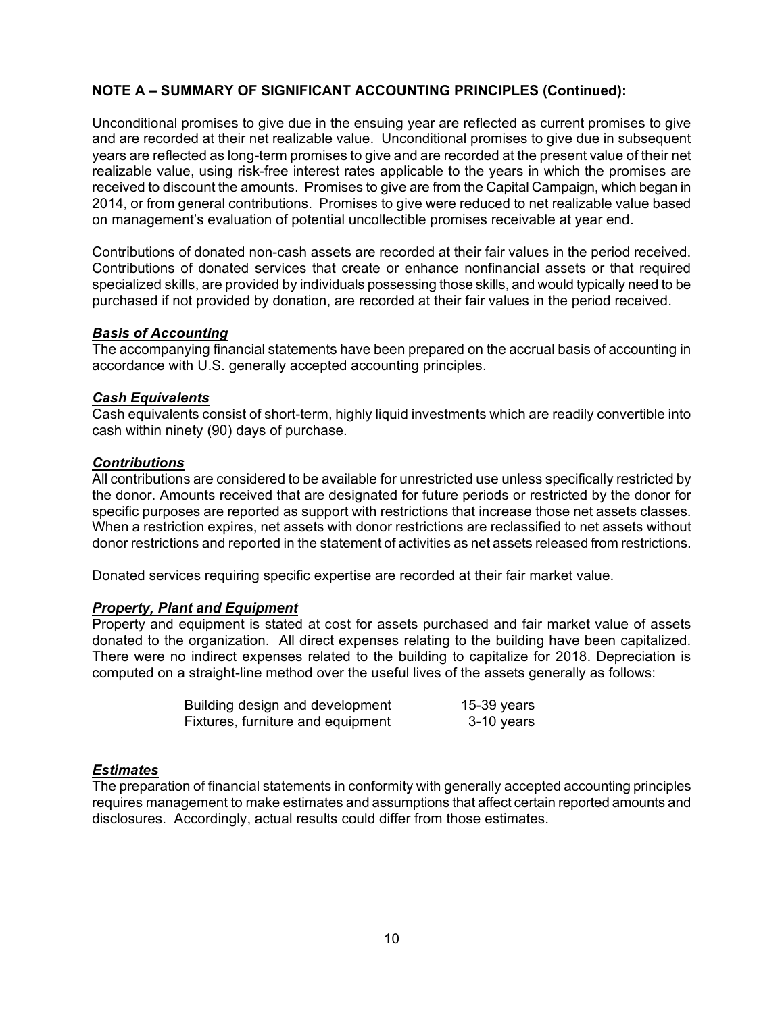# **NOTE A – SUMMARY OF SIGNIFICANT ACCOUNTING PRINCIPLES (Continued):**

Unconditional promises to give due in the ensuing year are reflected as current promises to give and are recorded at their net realizable value. Unconditional promises to give due in subsequent years are reflected as long-term promises to give and are recorded at the present value of their net realizable value, using risk-free interest rates applicable to the years in which the promises are received to discount the amounts. Promises to give are from the Capital Campaign, which began in 2014, or from general contributions. Promises to give were reduced to net realizable value based on management's evaluation of potential uncollectible promises receivable at year end.

Contributions of donated non-cash assets are recorded at their fair values in the period received. Contributions of donated services that create or enhance nonfinancial assets or that required specialized skills, are provided by individuals possessing those skills, and would typically need to be purchased if not provided by donation, are recorded at their fair values in the period received.

## *Basis of Accounting*

The accompanying financial statements have been prepared on the accrual basis of accounting in accordance with U.S. generally accepted accounting principles.

## *Cash Equivalents*

Cash equivalents consist of short-term, highly liquid investments which are readily convertible into cash within ninety (90) days of purchase.

#### *Contributions*

All contributions are considered to be available for unrestricted use unless specifically restricted by the donor. Amounts received that are designated for future periods or restricted by the donor for specific purposes are reported as support with restrictions that increase those net assets classes. When a restriction expires, net assets with donor restrictions are reclassified to net assets without donor restrictions and reported in the statement of activities as net assets released from restrictions.

Donated services requiring specific expertise are recorded at their fair market value.

#### *Property, Plant and Equipment*

Property and equipment is stated at cost for assets purchased and fair market value of assets donated to the organization. All direct expenses relating to the building have been capitalized. There were no indirect expenses related to the building to capitalize for 2018. Depreciation is computed on a straight-line method over the useful lives of the assets generally as follows:

| Building design and development   | $15-39$ years |
|-----------------------------------|---------------|
| Fixtures, furniture and equipment | 3-10 years    |

## *Estimates*

The preparation of financial statements in conformity with generally accepted accounting principles requires management to make estimates and assumptions that affect certain reported amounts and disclosures. Accordingly, actual results could differ from those estimates.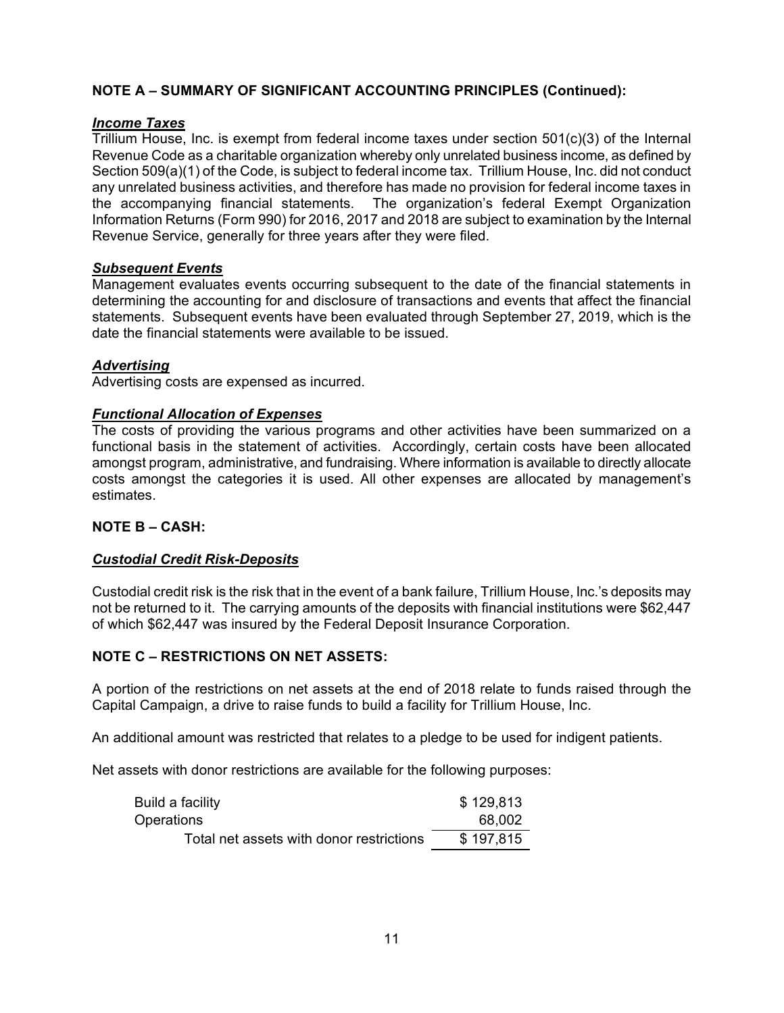# **NOTE A – SUMMARY OF SIGNIFICANT ACCOUNTING PRINCIPLES (Continued):**

## *Income Taxes*

Trillium House, Inc. is exempt from federal income taxes under section 501(c)(3) of the Internal Revenue Code as a charitable organization whereby only unrelated business income, as defined by Section 509(a)(1) of the Code, is subject to federal income tax. Trillium House, Inc. did not conduct any unrelated business activities, and therefore has made no provision for federal income taxes in the accompanying financial statements. The organization's federal Exempt Organization Information Returns (Form 990) for 2016, 2017 and 2018 are subject to examination by the Internal Revenue Service, generally for three years after they were filed.

## *Subsequent Events*

Management evaluates events occurring subsequent to the date of the financial statements in determining the accounting for and disclosure of transactions and events that affect the financial statements. Subsequent events have been evaluated through September 27, 2019, which is the date the financial statements were available to be issued.

## *Advertising*

Advertising costs are expensed as incurred.

#### *Functional Allocation of Expenses*

The costs of providing the various programs and other activities have been summarized on a functional basis in the statement of activities. Accordingly, certain costs have been allocated amongst program, administrative, and fundraising. Where information is available to directly allocate costs amongst the categories it is used. All other expenses are allocated by management's estimates.

#### **NOTE B – CASH:**

#### *Custodial Credit Risk-Deposits*

Custodial credit risk is the risk that in the event of a bank failure, Trillium House, Inc.'s deposits may not be returned to it. The carrying amounts of the deposits with financial institutions were \$62,447 of which \$62,447 was insured by the Federal Deposit Insurance Corporation.

## **NOTE C – RESTRICTIONS ON NET ASSETS:**

A portion of the restrictions on net assets at the end of 2018 relate to funds raised through the Capital Campaign, a drive to raise funds to build a facility for Trillium House, Inc.

An additional amount was restricted that relates to a pledge to be used for indigent patients.

Net assets with donor restrictions are available for the following purposes:

| Build a facility                         | \$129,813 |
|------------------------------------------|-----------|
| Operations                               | 68,002    |
| Total net assets with donor restrictions | \$197,815 |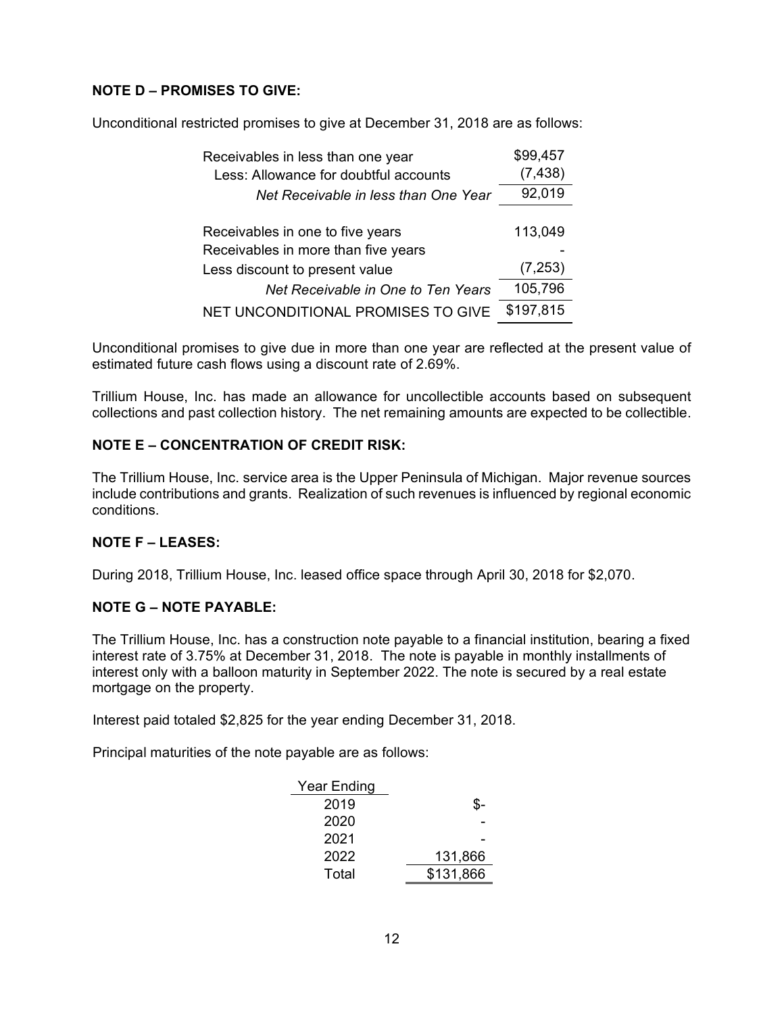# **NOTE D – PROMISES TO GIVE:**

Unconditional restricted promises to give at December 31, 2018 are as follows:

| Receivables in less than one year     | \$99,457  |
|---------------------------------------|-----------|
| Less: Allowance for doubtful accounts | (7, 438)  |
| Net Receivable in less than One Year  | 92,019    |
|                                       |           |
| Receivables in one to five years      | 113,049   |
| Receivables in more than five years   |           |
| Less discount to present value        | (7, 253)  |
| Net Receivable in One to Ten Years    | 105,796   |
| NET UNCONDITIONAL PROMISES TO GIVE    | \$197,815 |

Unconditional promises to give due in more than one year are reflected at the present value of estimated future cash flows using a discount rate of 2.69%.

Trillium House, Inc. has made an allowance for uncollectible accounts based on subsequent collections and past collection history. The net remaining amounts are expected to be collectible.

## **NOTE E – CONCENTRATION OF CREDIT RISK:**

The Trillium House, Inc. service area is the Upper Peninsula of Michigan. Major revenue sources include contributions and grants. Realization of such revenues is influenced by regional economic conditions.

#### **NOTE F – LEASES:**

During 2018, Trillium House, Inc. leased office space through April 30, 2018 for \$2,070.

## **NOTE G – NOTE PAYABLE:**

The Trillium House, Inc. has a construction note payable to a financial institution, bearing a fixed interest rate of 3.75% at December 31, 2018. The note is payable in monthly installments of interest only with a balloon maturity in September 2022. The note is secured by a real estate mortgage on the property.

Interest paid totaled \$2,825 for the year ending December 31, 2018.

Principal maturities of the note payable are as follows:

| Year Ending |           |
|-------------|-----------|
| 2019        | \$-       |
| 2020        |           |
| 2021        |           |
| 2022        | 131,866   |
| Total       | \$131,866 |